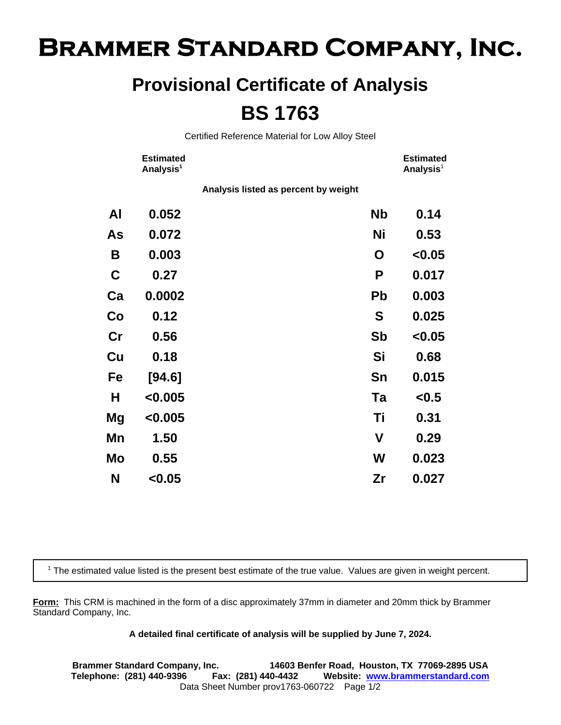## **Brammer Standard Company, Inc.**

## **Provisional Certificate of Analysis BS 1763**

Certified Reference Material for Low Alloy Steel

|                | <b>Estimated</b><br>Analysis <sup>1</sup> |                                      |           | <b>Estimated</b><br>Analysis <sup>1</sup> |
|----------------|-------------------------------------------|--------------------------------------|-----------|-------------------------------------------|
|                |                                           | Analysis listed as percent by weight |           |                                           |
| Al             | 0.052                                     |                                      | <b>Nb</b> | 0.14                                      |
| As             | 0.072                                     |                                      | Ni        | 0.53                                      |
| B              | 0.003                                     |                                      | O         | < 0.05                                    |
| $\mathbf C$    | 0.27                                      |                                      | P         | 0.017                                     |
| Ca             | 0.0002                                    |                                      | <b>Pb</b> | 0.003                                     |
| Co             | 0.12                                      |                                      | S         | 0.025                                     |
| $\mathbf{C}$ r | 0.56                                      |                                      | Sb        | < 0.05                                    |
| Cu             | 0.18                                      |                                      | Si        | 0.68                                      |
| Fe             | [94.6]                                    |                                      | Sn        | 0.015                                     |
| Н              | < 0.005                                   |                                      | Ta        | < 0.5                                     |
| Mg             | < 0.005                                   |                                      | Τi        | 0.31                                      |
| Mn             | 1.50                                      |                                      | V         | 0.29                                      |
| Mo             | 0.55                                      |                                      | W         | 0.023                                     |
| N              | < 0.05                                    |                                      | Zr        | 0.027                                     |

<sup>1</sup> The estimated value listed is the present best estimate of the true value. Values are given in weight percent.

**Form:** This CRM is machined in the form of a disc approximately 37mm in diameter and 20mm thick by Brammer Standard Company, Inc.

## **A detailed final certificate of analysis will be supplied by June 7, 2024.**

**Brammer Standard Company, Inc. 14603 Benfer Road, Houston, TX 77069-2895 USA Telephone: (281) 440-9396 Fax: (281) 440-4432 Website: www.brammerstandard.com** Data Sheet Number prov1763-060722 Page 1/2